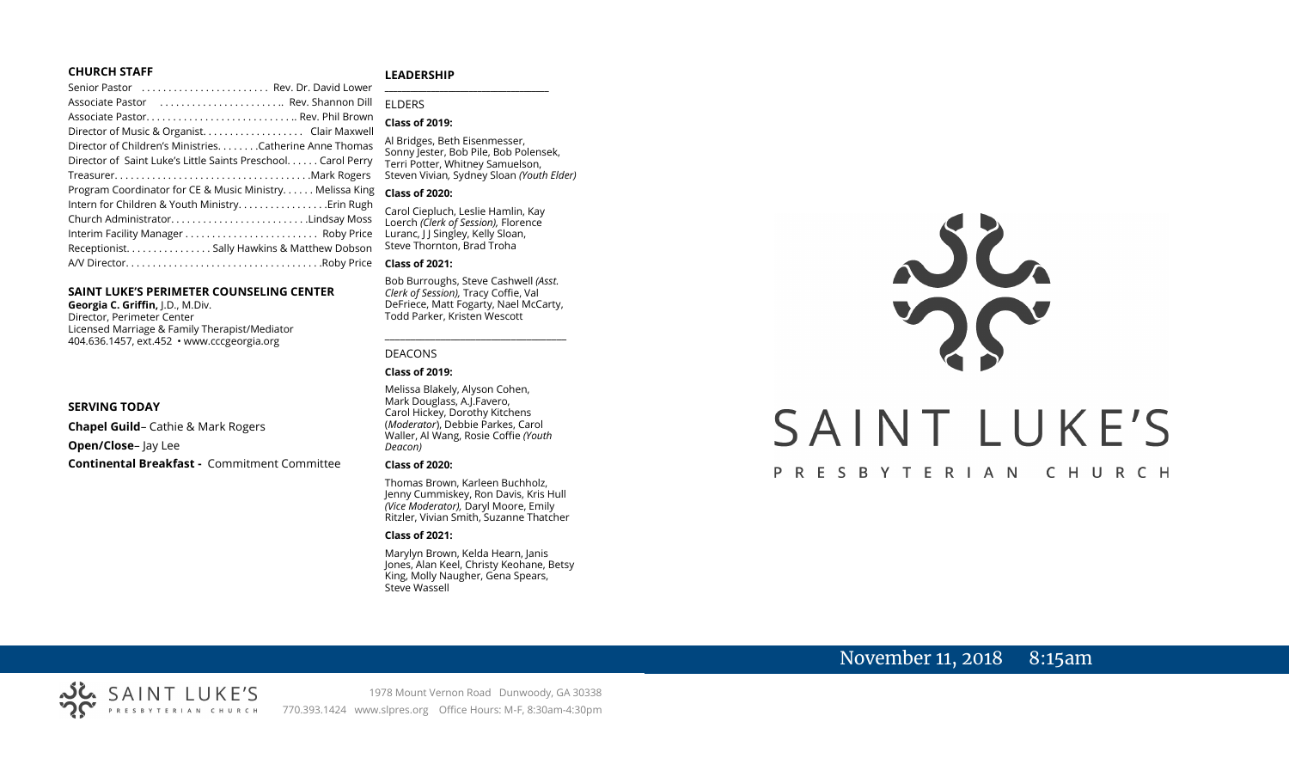## **CHURCH STAFF**

## **LEADERSHIP**

| Senior Pastor  Rev. Dr. David Lower                           |                                                                        |
|---------------------------------------------------------------|------------------------------------------------------------------------|
| Associate Pastor  Rev. Shannon Dill                           | <b>FIDERS</b>                                                          |
| Associate Pastor Rev. Phil Brown                              | <b>Class of 2019:</b>                                                  |
|                                                               |                                                                        |
| Director of Children's MinistriesCatherine Anne Thomas        | Al Bridges, Beth Eisenmesser,<br>Sonny Jester, Bob Pile, Bob Polensek, |
| Director of Saint Luke's Little Saints Preschool. Carol Perry | Terri Potter, Whitney Samuelson,                                       |
|                                                               | Steven Vivian, Sydney Sloan (Youth Elder)                              |
| Program Coordinator for CE & Music Ministry Melissa King      | <b>Class of 2020:</b>                                                  |
| Intern for Children & Youth MinistryErin Rugh                 | Carol Ciepluch, Leslie Hamlin, Kay                                     |
| Church AdministratorLindsay Moss                              | Loerch (Clerk of Session), Florence                                    |
|                                                               | Luranc, J J Singley, Kelly Sloan,                                      |
| Receptionist. Sally Hawkins & Matthew Dobson                  | Steve Thornton, Brad Troha                                             |
|                                                               |                                                                        |
|                                                               | <b>Class of 2021:</b>                                                  |

## **SAINT LUKE'S PERIMETER COUNSELING CENTER**

**Georgia C. Griffin,** J.D., M.Div. Director, Perimeter Center Licensed Marriage & Family Therapist/Mediator 404.636.1457, ext.452 • www.cccgeorgia.org

#### **SERVING TODAY**

**Chapel Guild**– Cathie & Mark Rogers **Open/Close**– Jay Lee **Continental Breakfast -** Commitment Committee

#### **Class of 2020:** Carol Ciepluch, Leslie Hamlin, Kay Loerch *(Clerk of Session),* Florence Luranc, J J Singley, Kelly Sloan, Steve Thornton, Brad Troha

#### **Class of 2021:**

Bob Burroughs, Steve Cashwell *(Asst. Clerk of Session),* Tracy Coffie, Val DeFriece, Matt Fogarty, Nael McCarty, Todd Parker, Kristen Wescott

\_\_\_\_\_\_\_\_\_\_\_\_\_\_\_\_\_\_\_\_\_\_\_\_\_\_\_\_\_\_\_\_\_\_\_\_

#### DEACONS

#### **Class of 2019:**

Melissa Blakely, Alyson Cohen, Mark Douglass, A.J.Favero, Carol Hickey, Dorothy Kitchens (*Moderator*), Debbie Parkes, Carol Waller, Al Wang, Rosie Coffie *(Youth Deacon)* 

#### **Class of 2020:**

Thomas Brown, Karleen Buchholz, Jenny Cummiskey, Ron Davis, Kris Hull *(Vice Moderator),* Daryl Moore, Emily Ritzler, Vivian Smith, Suzanne Thatcher

#### **Class of 2021:**

Marylyn Brown, Kelda Hearn, Janis Jones, Alan Keel, Christy Keohane, Betsy King, Molly Naugher, Gena Spears, Steve Wassell

# JC. SAINT LUKE'S

# PRESBYTERIAN CHURCH

# November 11, 2018 8:15am



1978 Mount Vernon Road Dunwoody, GA 30338 770.393.1424 www.slpres.org Office Hours: M-F, 8:30am-4:30pm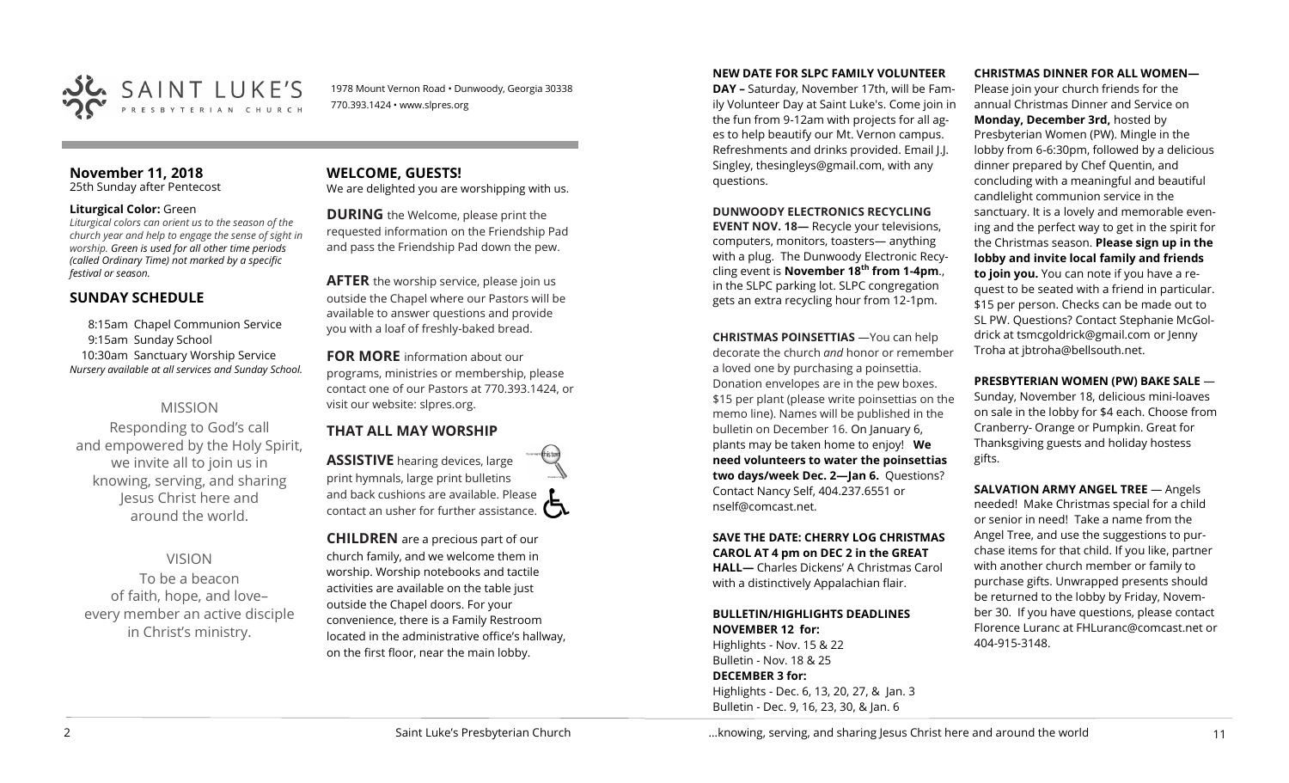

1978 Mount Vernon Road • Dunwoody, Georgia 30338 770.393.1424 • www.slpres.org

# **November 11, 2018**

25th Sunday after Pentecost

# **Liturgical Color:** Green

*Liturgical colors can orient us to the season of the church year and help to engage the sense of sight in worship. Green is used for all other time periods (called Ordinary Time) not marked by a specific festival or season.*

# **SUNDAY SCHEDULE**

8:15am Chapel Communion Service 9:15am Sunday School 10:30am Sanctuary Worship Service *Nursery available at all services and Sunday School.* 

# MISSION

Responding to God's call and empowered by the Holy Spirit, we invite all to join us in knowing, serving, and sharing Jesus Christ here and around the world.

# VISION

To be a beacon of faith, hope, and love– every member an active disciple in Christ's ministry.

**WELCOME, GUESTS!**  We are delighted you are worshipping with us.

**DURING** the Welcome, please print the requested information on the Friendship Pad and pass the Friendship Pad down the pew.

**AFTER** the worship service, please join us outside the Chapel where our Pastors will be available to answer questions and provide you with a loaf of freshly-baked bread.

**FOR MORE** information about our programs, ministries or membership, please contact one of our Pastors at 770.393.1424, or visit our website: slpres.org.

# **THAT ALL MAY WORSHIP**

**ASSISTIVE** hearing devices, large print hymnals, large print bulletins and back cushions are available. Please contact an usher for further assistance.  $\Box$ 

**CHILDREN** are a precious part of our church family, and we welcome them in worship. Worship notebooks and tactile activities are available on the table just outside the Chapel doors. For your convenience, there is a Family Restroom located in the administrative office's hallway, on the first floor, near the main lobby.

## **NEW DATE FOR SLPC FAMILY VOLUNTEER**

**DAY –** Saturday, November 17th, will be Family Volunteer Day at Saint Luke's. Come join in the fun from 9-12am with projects for all ages to help beautify our Mt. Vernon campus. Refreshments and drinks provided. Email J.J. Singley, [thesingleys@gmail.com,](mailto:thesingleys@gmail.com) with any questions.

# **DUNWOODY ELECTRONICS RECYCLING**

**EVENT NOV. 18—** Recycle your televisions, computers, monitors, toasters— anything with a plug. The Dunwoody Electronic Recycling event is **November 18th from 1-4pm**., in the SLPC parking lot. SLPC congregation gets an extra recycling hour from 12-1pm.

**CHRISTMAS POINSETTIAS** —You can help decorate the church *and* honor or remember a loved one by purchasing a poinsettia. Donation envelopes are in the pew boxes. \$15 per plant (please write poinsettias on the memo line). Names will be published in the bulletin on December 16. On January 6, plants may be taken home to enjoy! **We need volunteers to water the poinsettias two days/week Dec. 2—Jan 6.** Questions? Contact Nancy Self, 404.237.6551 or nself@comcast.net.

# **SAVE THE DATE: CHERRY LOG CHRISTMAS CAROL AT 4 pm on DEC 2 in the GREAT**

**HALL—** Charles Dickens' A Christmas Carol with a distinctively Appalachian flair.

# **BULLETIN/HIGHLIGHTS DEADLINES NOVEMBER 12 for:**

Highlights - Nov. 15 & 22 Bulletin - Nov. 18 & 25 **DECEMBER 3 for:** Highlights - Dec. 6, 13, 20, 27, & Jan. 3 Bulletin - Dec. 9, 16, 23, 30, & Jan. 6

# **CHRISTMAS DINNER FOR ALL WOMEN—**

Please join your church friends for the annual Christmas Dinner and Service on **Monday, December 3rd,** hosted by Presbyterian Women (PW). Mingle in the lobby from 6-6:30pm, followed by a delicious dinner prepared by Chef Quentin, and concluding with a meaningful and beautiful candlelight communion service in the sanctuary. It is a lovely and memorable evening and the perfect way to get in the spirit for the Christmas season. **Please sign up in the lobby and invite local family and friends to join you.** You can note if you have a request to be seated with a friend in particular. \$15 per person. Checks can be made out to SL PW. Questions? Contact Stephanie McGoldrick at [tsmcgoldrick@gmail.com](mailto:tsmcgoldrick@gmail.com) or Jenny Troha at [jbtroha@bellsouth.net.](mailto:jbtroha@bellsouth.net)

# **PRESBYTERIAN WOMEN (PW) BAKE SALE** —

Sunday, November 18, delicious mini-loaves on sale in the lobby for \$4 each. Choose from Cranberry- Orange or Pumpkin. Great for Thanksgiving guests and holiday hostess gifts.

**SALVATION ARMY ANGEL TREE** — Angels needed! Make Christmas special for a child or senior in need! Take a name from the Angel Tree, and use the suggestions to purchase items for that child. If you like, partner with another church member or family to purchase gifts. Unwrapped presents should be returned to the lobby by Friday, November 30. If you have questions, please contact Florence Luranc at [FHLuranc@comcast.net](mailto:FHLuranc@comcast.net) or 404-915-3148.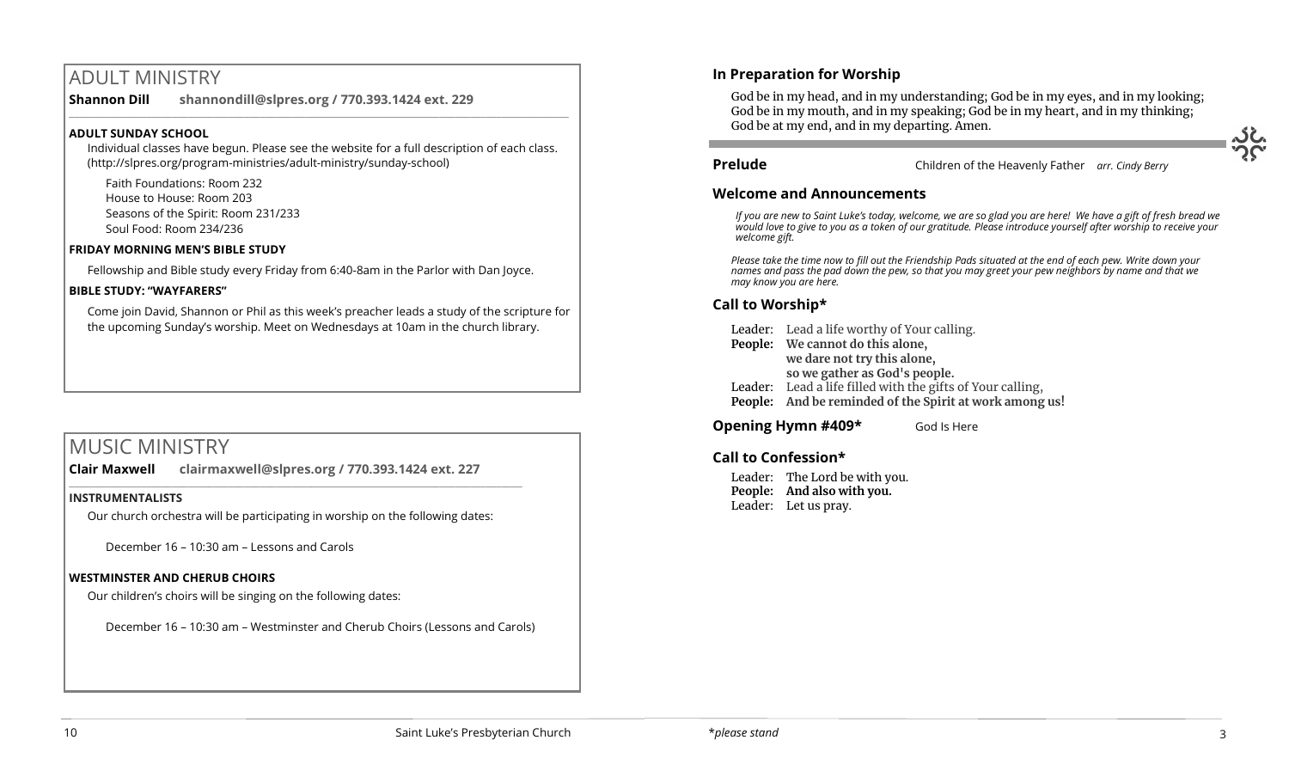# ADULT MINISTRY

**Shannon Dill shannondill@slpres.org / 770.393.1424 ext. 229**   $\_$  ,  $\_$  ,  $\_$  ,  $\_$  ,  $\_$  ,  $\_$  ,  $\_$  ,  $\_$  ,  $\_$  ,  $\_$  ,  $\_$  ,  $\_$  ,  $\_$  ,  $\_$  ,  $\_$  ,  $\_$  ,  $\_$  ,  $\_$  ,  $\_$ 

# **ADULT SUNDAY SCHOOL**

Individual classes have begun. Please see the website for a full description of each class. (http://slpres.org/program-ministries/adult-ministry/sunday-school)

Faith Foundations: Room 232 House to House: Room 203 Seasons of the Spirit: Room 231/233 Soul Food: Room 234/236

# **FRIDAY MORNING MEN'S BIBLE STUDY**

Fellowship and Bible study every Friday from 6:40-8am in the Parlor with Dan Joyce.

# **BIBLE STUDY: "WAYFARERS"**

Come join David, Shannon or Phil as this week's preacher leads a study of the scripture for the upcoming Sunday's worship. Meet on Wednesdays at 10am in the church library.

# MUSIC MINISTRY

**Clair Maxwell clairmaxwell@slpres.org / 770.393.1424 ext. 227**  \_\_\_\_\_\_\_\_\_\_\_\_\_\_\_\_\_\_\_\_\_\_\_\_\_\_\_\_\_\_\_\_\_\_\_\_\_\_\_\_\_\_\_\_\_\_\_\_\_\_\_\_\_\_\_\_\_\_\_\_\_\_\_\_\_\_\_\_\_\_\_\_\_\_\_\_\_\_\_\_\_\_\_\_\_\_\_\_

# **INSTRUMENTALISTS**

Our church orchestra will be participating in worship on the following dates:

December 16 – 10:30 am – Lessons and Carols

# **WESTMINSTER AND CHERUB CHOIRS**

Our children's choirs will be singing on the following dates:

December 16 – 10:30 am – Westminster and Cherub Choirs (Lessons and Carols)

# **In Preparation for Worship**

God be in my head, and in my understanding; God be in my eyes, and in my looking; God be in my mouth, and in my speaking; God be in my heart, and in my thinking; God be at my end, and in my departing. Amen. j

# **Prelude** Children of the Heavenly Father *arr. Cindy Berry*

# **Welcome and Announcements**

*If you are new to Saint Luke's today, welcome, we are so glad you are here! We have a gift of fresh bread we would love to give to you as a token of our gratitude. Please introduce yourself after worship to receive your welcome gift.*

*Please take the time now to fill out the Friendship Pads situated at the end of each pew. Write down your names and pass the pad down the pew, so that you may greet your pew neighbors by name and that we may know you are here.*

# **Call to Worship\***

Leader: Lead a life worthy of Your calling.

- **People: We cannot do this alone, we dare not try this alone,**
	- **so we gather as God's people.**
- Leader: Lead a life filled with the gifts of Your calling,
- **People: And be reminded of the Spirit at work among us!**

**Opening Hymn #409\*** God Is Here

# **Call to Confession\***

Leader: The Lord be with you. **People: And also with you.**  Leader: Let us pray.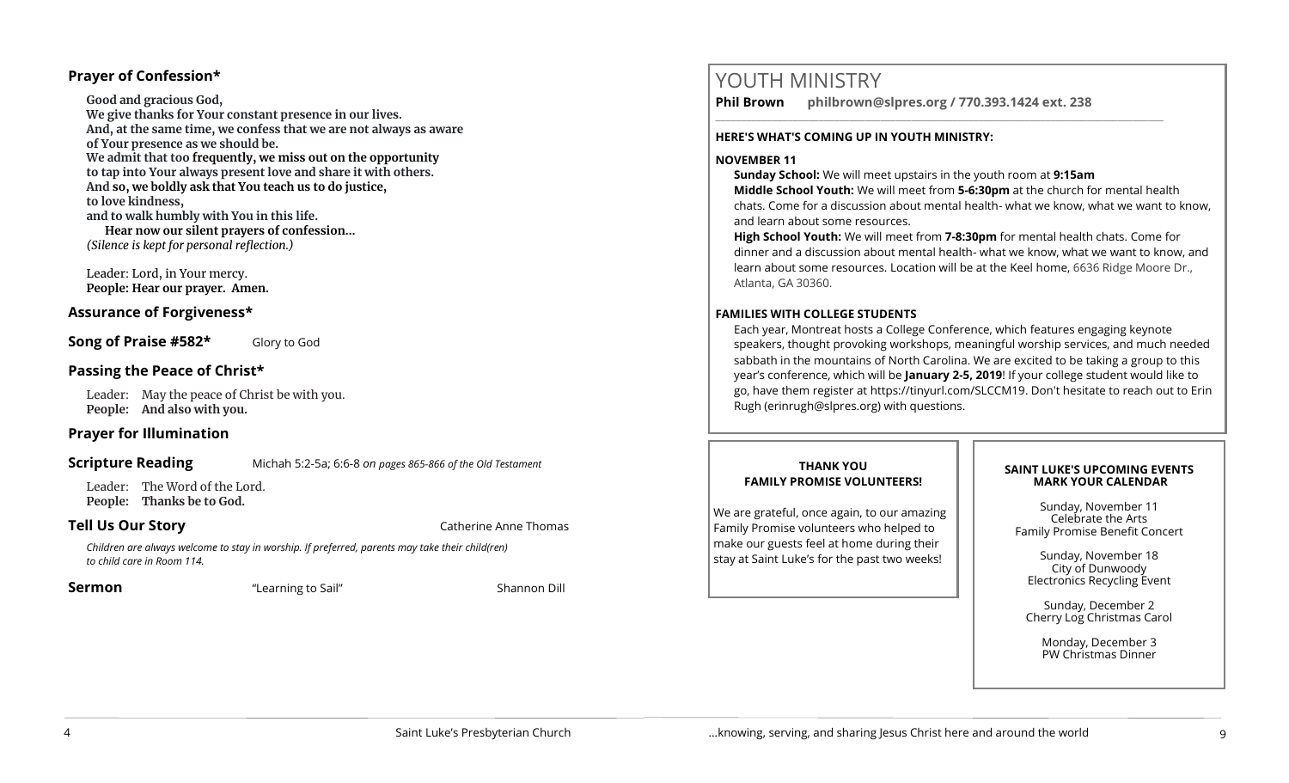# **Prayer of Confession\***

**Good and gracious God, We give thanks for Your constant presence in our lives. And, at the same time, we confess that we are not always as aware of Your presence as we should be. We admit that too frequently, we miss out on the opportunity to tap into Your always present love and share it with others. And so, we boldly ask that You teach us to do justice, to love kindness, and to walk humbly with You in this life. Hear now our silent prayers of confession…** *(Silence is kept for personal reflection.)*

Leader: Lord, in Your mercy. **People: Hear our prayer. Amen.**

# **Assurance of Forgiveness\***

**Song of Praise #582\*** Glory to God

# **Passing the Peace of Christ\***

Leader: May the peace of Christ be with you. **People: And also with you.** 

# **Prayer for Illumination**

# **Scripture Reading** Michah 5:2-5a; 6:6-8 *on pages 865-866 of the Old Testament*

Leader: The Word of the Lord. **People: Thanks be to God.** 

**Tell Us Our Story Catherine Anne Thomas** 

*Children are always welcome to stay in worship. If preferred, parents may take their child(ren) to child care in Room 114.*

**Sermon Example 2 Constant Constant Constant Constant Constant Constant Constant Constant Constant Constant Constant Constant Constant Constant Constant Constant Constant Constant Constant Constant Constant Constant Co** 

# YOUTH MINISTRY

**Phil Brown philbrown@slpres.org / 770.393.1424 ext. 238** 

\_\_\_\_\_\_\_\_\_\_\_\_\_\_\_\_\_\_\_\_\_\_\_\_\_\_\_\_\_\_\_\_\_\_\_\_\_\_\_\_\_\_\_\_\_\_\_\_\_\_\_\_\_\_\_\_\_\_\_\_\_\_\_\_\_\_\_\_\_\_\_\_\_\_\_\_\_\_\_\_\_\_\_\_\_\_\_

## **HERE'S WHAT'S COMING UP IN YOUTH MINISTRY:**

# **NOVEMBER 11**

**Sunday School:** We will meet upstairs in the youth room at **9:15am** 

**Middle School Youth:** We will meet from **5-6:30pm** at the church for mental health chats. Come for a discussion about mental health- what we know, what we want to know, and learn about some resources.

**High School Youth:** We will meet from **7-8:30pm** for mental health chats. Come for dinner and a discussion about mental health- what we know, what we want to know, and learn about some resources. Location will be at the Keel home, 6636 Ridge Moore Dr., Atlanta, GA 30360.

# **FAMILIES WITH COLLEGE STUDENTS**

Each year, Montreat hosts a College Conference, which features engaging keynote speakers, thought provoking workshops, meaningful worship services, and much needed sabbath in the mountains of North Carolina. We are excited to be taking a group to this year's conference, which will be **January 2-5, 2019**! If your college student would like to go, have them register at [https://tinyurl.com/SLCCM19.](https://tinyurl.com/SLCCM19) Don't hesitate to reach out to Erin Rugh (erinrugh@slpres.org) with questions.

# **THANK YOU FAMILY PROMISE VOLUNTEERS!**

We are grateful, once again, to our amazing Family Promise volunteers who helped to make our guests feel at home during their stay at Saint Luke's for the past two weeks!

# **SAINT LUKE'S UPCOMING EVENTS MARK YOUR CALENDAR**

Sunday, November 11 Celebrate the Arts Family Promise Benefit Concert

Sunday, November 18 City of Dunwoody Electronics Recycling Event

Sunday, December 2 Cherry Log Christmas Carol

> Monday, December 3 PW Christmas Dinner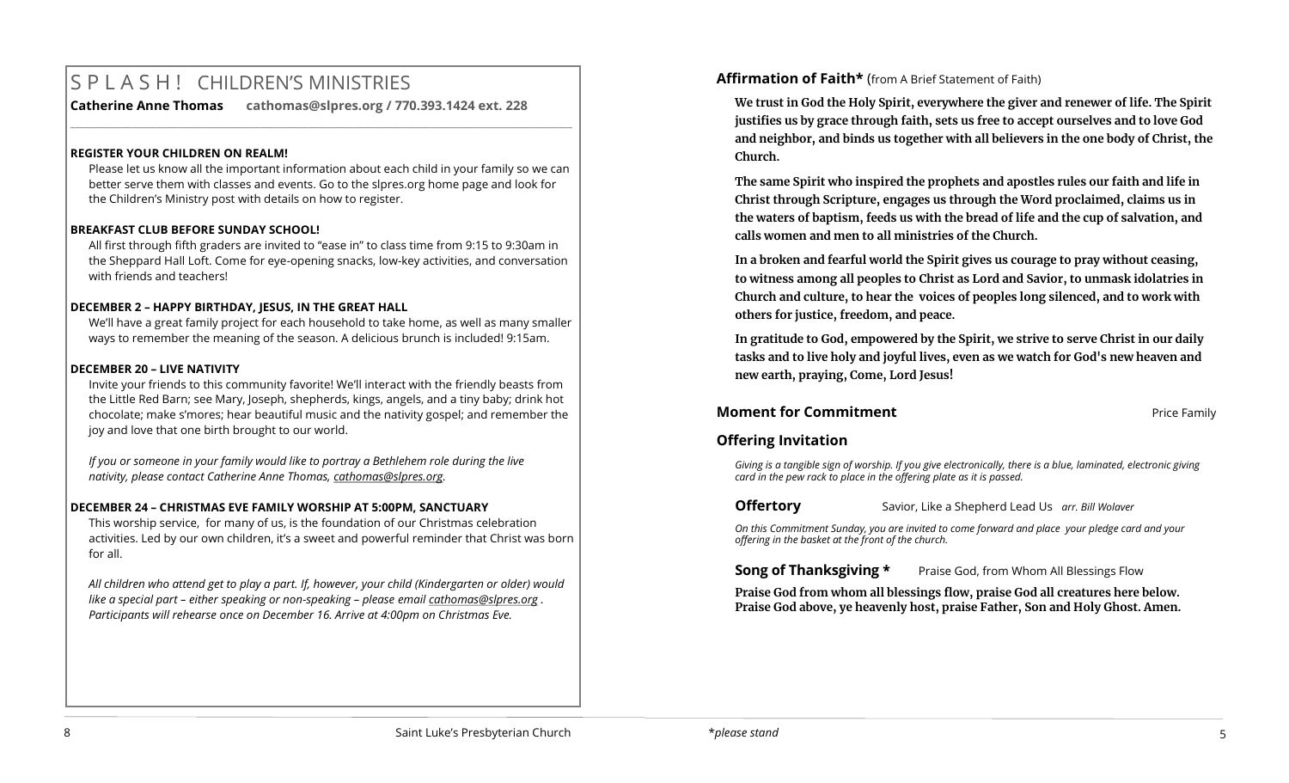# S P L A S H ! CHILDREN'S MINISTRIES

**Catherine Anne Thomas cathomas@slpres.org / 770.393.1424 ext. 228** 

# **REGISTER YOUR CHILDREN ON REALM!**

Please let us know all the important information about each child in your family so we can better serve them with classes and events. Go to the slpres.org home page and look for the Children's Ministry post with details on how to register.

**\_\_\_\_\_\_\_\_\_\_\_\_\_\_\_\_\_\_\_\_\_\_\_\_\_\_\_\_\_\_\_\_\_\_\_\_\_\_\_\_\_\_\_\_\_\_\_\_\_\_\_\_\_\_\_\_\_\_\_\_\_\_\_\_\_\_\_\_\_\_\_\_\_\_\_\_\_\_\_\_\_\_\_\_\_\_\_\_\_\_\_\_\_\_\_\_\_\_\_\_\_\_\_\_\_\_** 

# **BREAKFAST CLUB BEFORE SUNDAY SCHOOL!**

All first through fifth graders are invited to "ease in" to class time from 9:15 to 9:30am in the Sheppard Hall Loft. Come for eye-opening snacks, low-key activities, and conversation with friends and teachers!

# **DECEMBER 2 – HAPPY BIRTHDAY, JESUS, IN THE GREAT HALL**

We'll have a great family project for each household to take home, as well as many smaller ways to remember the meaning of the season. A delicious brunch is included! 9:15am.

# **DECEMBER 20 – LIVE NATIVITY**

Invite your friends to this community favorite! We'll interact with the friendly beasts from the Little Red Barn; see Mary, Joseph, shepherds, kings, angels, and a tiny baby; drink hot chocolate; make s'mores; hear beautiful music and the nativity gospel; and remember the joy and love that one birth brought to our world.

*If you or someone in your family would like to portray a Bethlehem role during the live nativity, please contact Catherine Anne Thomas, [cathomas@slpres.org.](mailto:cathomas@slpres.org)* 

# **DECEMBER 24 – CHRISTMAS EVE FAMILY WORSHIP AT 5:00PM, SANCTUARY**

This worship service, for many of us, is the foundation of our Christmas celebration activities. Led by our own children, it's a sweet and powerful reminder that Christ was born for all.

*All children who attend get to play a part. If, however, your child (Kindergarten or older) would like a special part – either speaking or non-speaking – please email [cathomas@slpres.org](mailto:cathomas@slpres.org) . Participants will rehearse once on December 16. Arrive at 4:00pm on Christmas Eve.* 

# **Affirmation of Faith\*** (from A Brief Statement of Faith)

**We trust in God the Holy Spirit, everywhere the giver and renewer of life. The Spirit justifies us by grace through faith, sets us free to accept ourselves and to love God and neighbor, and binds us together with all believers in the one body of Christ, the Church.** 

**The same Spirit who inspired the prophets and apostles rules our faith and life in Christ through Scripture, engages us through the Word proclaimed, claims us in the waters of baptism, feeds us with the bread of life and the cup of salvation, and calls women and men to all ministries of the Church.** 

**In a broken and fearful world the Spirit gives us courage to pray without ceasing, to witness among all peoples to Christ as Lord and Savior, to unmask idolatries in Church and culture, to hear the voices of peoples long silenced, and to work with others for justice, freedom, and peace.** 

**In gratitude to God, empowered by the Spirit, we strive to serve Christ in our daily tasks and to live holy and joyful lives, even as we watch for God's new heaven and new earth, praying, Come, Lord Jesus!**

# **Moment for Commitment Commitment Price Family Price Family**

# **Offering Invitation**

*Giving is a tangible sign of worship. If you give electronically, there is a blue, laminated, electronic giving card in the pew rack to place in the offering plate as it is passed.*

**Offertory** Savior, Like a Shepherd Lead Us *arr. Bill Wolaver*

*On this Commitment Sunday, you are invited to come forward and place your pledge card and your offering in the basket at the front of the church.*

**Song of Thanksgiving \*** Praise God, from Whom All Blessings Flow

**Praise God from whom all blessings flow, praise God all creatures here below. Praise God above, ye heavenly host, praise Father, Son and Holy Ghost. Amen.**